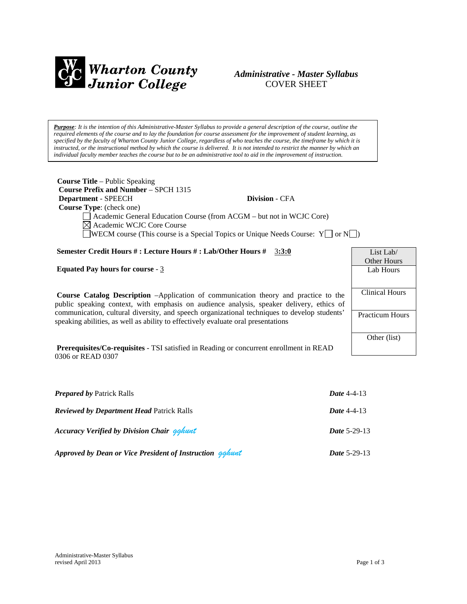

## *Administrative - Master Syllabus*  COVER SHEET

*Purpose: It is the intention of this Administrative-Master Syllabus to provide a general description of the course, outline the required elements of the course and to lay the foundation for course assessment for the improvement of student learning, as specified by the faculty of Wharton County Junior College, regardless of who teaches the course, the timeframe by which it is instructed, or the instructional method by which the course is delivered. It is not intended to restrict the manner by which an individual faculty member teaches the course but to be an administrative tool to aid in the improvement of instruction.*

| <b>Course Title</b> – Public Speaking<br><b>Course Prefix and Number - SPCH 1315</b>                                                                                                   |                                                                                                    |                |  |
|----------------------------------------------------------------------------------------------------------------------------------------------------------------------------------------|----------------------------------------------------------------------------------------------------|----------------|--|
| Department - SPEECH                                                                                                                                                                    | <b>Division - CFA</b>                                                                              |                |  |
| <b>Course Type:</b> (check one)                                                                                                                                                        |                                                                                                    |                |  |
| Academic General Education Course (from ACGM – but not in WCJC Core)                                                                                                                   |                                                                                                    |                |  |
| $\boxtimes$ Academic WCJC Core Course                                                                                                                                                  |                                                                                                    |                |  |
|                                                                                                                                                                                        | $\Box$ WECM course (This course is a Special Topics or Unique Needs Course: Y $\Box$ or N $\Box$ ) |                |  |
|                                                                                                                                                                                        |                                                                                                    |                |  |
| Semester Credit Hours #: Lecture Hours #: Lab/Other Hours # 3:3:0                                                                                                                      |                                                                                                    | List Lab/      |  |
|                                                                                                                                                                                        |                                                                                                    | Other Hours    |  |
| <b>Equated Pay hours for course - 3</b>                                                                                                                                                |                                                                                                    | Lab Hours      |  |
|                                                                                                                                                                                        |                                                                                                    |                |  |
| <b>Course Catalog Description</b> -Application of communication theory and practice to the<br>public speaking context, with emphasis on audience analysis, speaker delivery, ethics of |                                                                                                    | Clinical Hours |  |
|                                                                                                                                                                                        |                                                                                                    |                |  |

communication, cultural diversity, and speech organizational techniques to develop students' speaking abilities, as well as ability to effectively evaluate oral presentations

**Prerequisites/Co-requisites** - TSI satisfied in Reading or concurrent enrollment in READ 0306 or READ 0307

| <b>Prepared by Patrick Ralls</b>                         | Date $4-4-13$       |
|----------------------------------------------------------|---------------------|
| <b>Reviewed by Department Head Patrick Ralls</b>         | Date $4-4-13$       |
| <b>Accuracy Verified by Division Chair gghunt</b>        | <b>Date 5-29-13</b> |
| Approved by Dean or Vice President of Instruction gahunt | <b>Date 5-29-13</b> |

Practicum Hours

Other (list)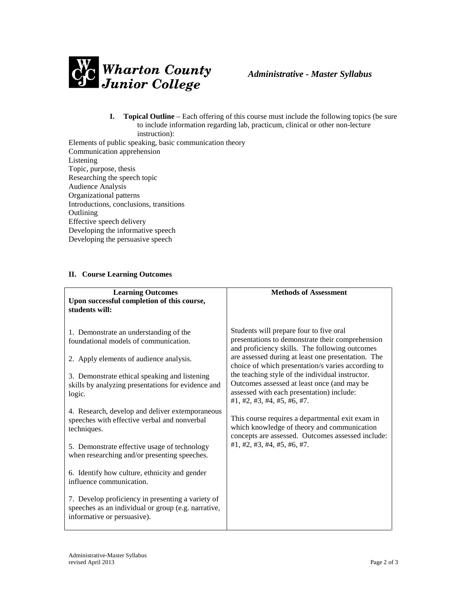

- **I. Topical Outline** Each offering of this course must include the following topics (be sure to include information regarding lab, practicum, clinical or other non-lecture instruction):
- Elements of public speaking, basic communication theory Communication apprehension Listening Topic, purpose, thesis Researching the speech topic Audience Analysis Organizational patterns Introductions, conclusions, transitions **Outlining** Effective speech delivery Developing the informative speech Developing the persuasive speech

## **II. Course Learning Outcomes**

| <b>Learning Outcomes</b><br>Upon successful completion of this course,<br>students will:                                                                 | <b>Methods of Assessment</b>                                                                                                                                                                                                      |
|----------------------------------------------------------------------------------------------------------------------------------------------------------|-----------------------------------------------------------------------------------------------------------------------------------------------------------------------------------------------------------------------------------|
| 1. Demonstrate an understanding of the<br>foundational models of communication.                                                                          | Students will prepare four to five oral<br>presentations to demonstrate their comprehension<br>and proficiency skills. The following outcomes<br>are assessed during at least one presentation. The                               |
| 2. Apply elements of audience analysis.<br>3. Demonstrate ethical speaking and listening<br>skills by analyzing presentations for evidence and<br>logic. | choice of which presentation/s varies according to<br>the teaching style of the individual instructor.<br>Outcomes assessed at least once (and may be<br>assessed with each presentation) include:<br>#1, #2, #3, #4, #5, #6, #7. |
| 4. Research, develop and deliver extemporaneous<br>speeches with effective verbal and nonverbal<br>techniques.                                           | This course requires a departmental exit exam in<br>which knowledge of theory and communication<br>concepts are assessed. Outcomes assessed include:                                                                              |
| 5. Demonstrate effective usage of technology<br>when researching and/or presenting speeches.                                                             | #1, #2, #3, #4, #5, #6, #7.                                                                                                                                                                                                       |
| 6. Identify how culture, ethnicity and gender<br>influence communication.                                                                                |                                                                                                                                                                                                                                   |
| 7. Develop proficiency in presenting a variety of<br>speeches as an individual or group (e.g. narrative,<br>informative or persuasive).                  |                                                                                                                                                                                                                                   |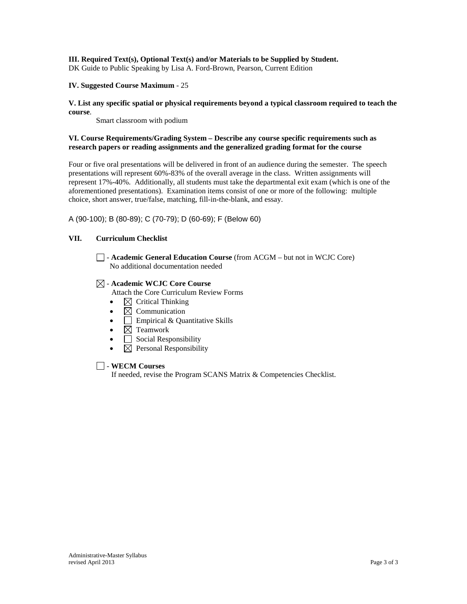## **III. Required Text(s), Optional Text(s) and/or Materials to be Supplied by Student.**

DK Guide to Public Speaking by Lisa A. Ford-Brown, Pearson, Current Edition

### **IV. Suggested Course Maximum** - 25

### **V. List any specific spatial or physical requirements beyond a typical classroom required to teach the course**.

Smart classroom with podium

## **VI. Course Requirements/Grading System – Describe any course specific requirements such as research papers or reading assignments and the generalized grading format for the course**

Four or five oral presentations will be delivered in front of an audience during the semester. The speech presentations will represent 60%-83% of the overall average in the class. Written assignments will represent 17%-40%. Additionally, all students must take the departmental exit exam (which is one of the aforementioned presentations). Examination items consist of one or more of the following: multiple choice, short answer, true/false, matching, fill-in-the-blank, and essay.

A (90-100); B (80-89); C (70-79); D (60-69); F (Below 60)

## **VII. Curriculum Checklist**

- **Academic General Education Course** (from ACGM – but not in WCJC Core) No additional documentation needed

## - **Academic WCJC Core Course**

Attach the Core Curriculum Review Forms

- $\boxtimes$  Critical Thinking
- $\boxtimes$  Communication
- $\Box$  Empirical & Quantitative Skills
- $\boxtimes$  Teamwork
- $\Box$  Social Responsibility
- $\boxtimes$  Personal Responsibility

## - **WECM Courses**

If needed, revise the Program SCANS Matrix & Competencies Checklist.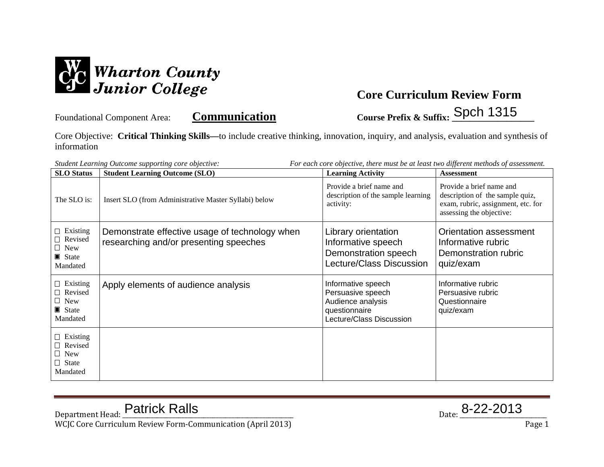

Foundational Component Area: **Communication** Course Prefix & Suffix: Spch 1315

Core Objective: **Critical Thinking Skills—**to include creative thinking, innovation, inquiry, and analysis, evaluation and synthesis of information

| For each core objective, there must be at least two different methods of assessment.<br>Student Learning Outcome supporting core objective: |                                                                                          |                                                                                                           |                                                                                                                               |
|---------------------------------------------------------------------------------------------------------------------------------------------|------------------------------------------------------------------------------------------|-----------------------------------------------------------------------------------------------------------|-------------------------------------------------------------------------------------------------------------------------------|
| <b>SLO</b> Status                                                                                                                           | <b>Student Learning Outcome (SLO)</b>                                                    | <b>Learning Activity</b>                                                                                  | <b>Assessment</b>                                                                                                             |
| The SLO is:                                                                                                                                 | Insert SLO (from Administrative Master Syllabi) below                                    | Provide a brief name and<br>description of the sample learning<br>activity:                               | Provide a brief name and<br>description of the sample quiz,<br>exam, rubric, assignment, etc. for<br>assessing the objective: |
| $\Box$ Existing<br>Revised<br>$\Box$ New<br>State State<br>Mandated                                                                         | Demonstrate effective usage of technology when<br>researching and/or presenting speeches | Library orientation<br>Informative speech<br>Demonstration speech<br>Lecture/Class Discussion             | Orientation assessment<br>Informative rubric<br>Demonstration rubric<br>quiz/exam                                             |
| $\Box$ Existing<br>$\Box$ Revised<br>$\Box$ New<br>State<br>Mandated                                                                        | Apply elements of audience analysis                                                      | Informative speech<br>Persuasive speech<br>Audience analysis<br>questionnaire<br>Lecture/Class Discussion | Informative rubric<br>Persuasive rubric<br>Questionnaire<br>quiz/exam                                                         |
| $\Box$ Existing<br>$\Box$ Revised<br>$\Box$ New<br>$\Box$ State<br>Mandated                                                                 |                                                                                          |                                                                                                           |                                                                                                                               |

 $_{\text{Date:}}$  8-22-2013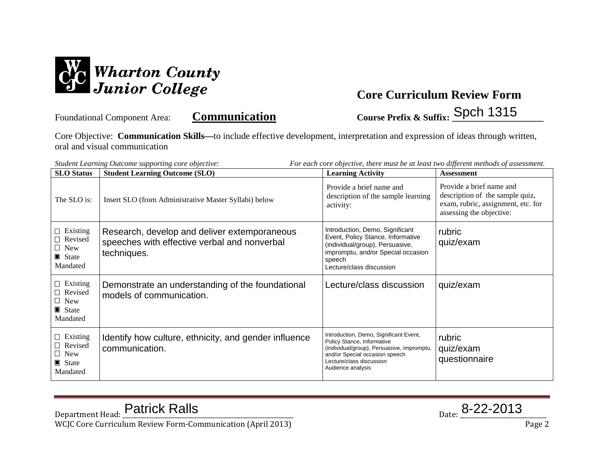

Foundational Component Area: **Communication Course Prefix & Suffix: \_\_\_\_\_\_\_\_\_\_\_\_\_\_\_\_\_\_\_\_** Spch 1315

Core Objective: **Communication Skills—**to include effective development, interpretation and expression of ideas through written, oral and visual communication

*Student Learning Outcome supporting core objective: For each core objective, there must be at least two different methods of assessment.*

| <b>SLO</b> Status                                                                   | <b>Student Learning Outcome (SLO)</b>                                                                       | <b>Learning Activity</b>                                                                                                                                                                              | <b>Assessment</b>                                                                                                             |
|-------------------------------------------------------------------------------------|-------------------------------------------------------------------------------------------------------------|-------------------------------------------------------------------------------------------------------------------------------------------------------------------------------------------------------|-------------------------------------------------------------------------------------------------------------------------------|
| The SLO is:                                                                         | Insert SLO (from Administrative Master Syllabi) below                                                       | Provide a brief name and<br>description of the sample learning<br>activity:                                                                                                                           | Provide a brief name and<br>description of the sample quiz,<br>exam, rubric, assignment, etc. for<br>assessing the objective: |
| $\Box$ Existing<br>$\Box$ Revised<br>$\Box$ New<br>$\blacksquare$ State<br>Mandated | Research, develop and deliver extemporaneous<br>speeches with effective verbal and nonverbal<br>techniques. | Introduction, Demo, Significant<br>Event, Policy Stance, Informative<br>(individual/group), Persuasive,<br>impromptu, and/or Special occasion<br>speech<br>Lecture/class discussion                   | rubric<br>quiz/exam                                                                                                           |
| $\Box$ Existing<br>$\Box$ Revised<br>$\Box$ New<br>$\blacksquare$ State<br>Mandated | Demonstrate an understanding of the foundational<br>models of communication.                                | Lecture/class discussion                                                                                                                                                                              | quiz/exam                                                                                                                     |
| $\Box$ Existing<br>□ Revised<br>$\Box$ New<br>$\blacksquare$ State<br>Mandated      | Identify how culture, ethnicity, and gender influence<br>communication.                                     | Introduction, Demo, Significant Event,<br>Policy Stance, Informative<br>(individual/group), Persuasive, impromptu,<br>and/or Special occasion speech<br>Lecture/class discussion<br>Audience analysis | rubric<br>quiz/exam<br>questionnaire                                                                                          |

 $_{\text{Date:}}$  8-22-2013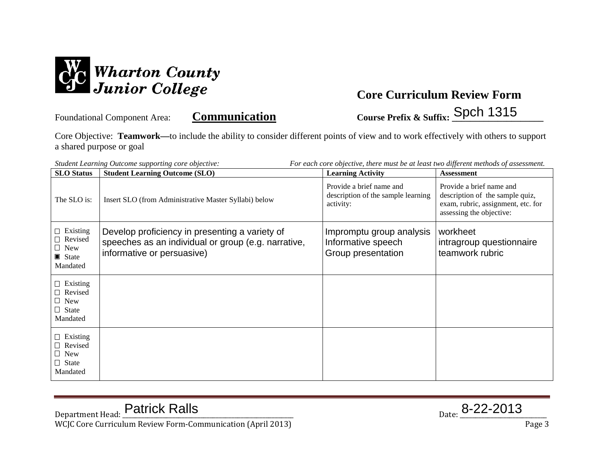

Foundational Component Area: **Communication Course Prefix & Suffix: \_\_\_\_\_\_\_\_\_\_\_\_\_\_\_\_\_\_\_\_** Spch 1315

Core Objective: **Teamwork—**to include the ability to consider different points of view and to work effectively with others to support a shared purpose or goal

| For each core objective, there must be at least two different methods of assessment.<br>Student Learning Outcome supporting core objective: |                                                                                                                                     |                                                                             |                                                                                                                               |
|---------------------------------------------------------------------------------------------------------------------------------------------|-------------------------------------------------------------------------------------------------------------------------------------|-----------------------------------------------------------------------------|-------------------------------------------------------------------------------------------------------------------------------|
| <b>SLO</b> Status                                                                                                                           | <b>Student Learning Outcome (SLO)</b>                                                                                               | <b>Learning Activity</b>                                                    | <b>Assessment</b>                                                                                                             |
| The SLO is:                                                                                                                                 | Insert SLO (from Administrative Master Syllabi) below                                                                               | Provide a brief name and<br>description of the sample learning<br>activity: | Provide a brief name and<br>description of the sample quiz,<br>exam, rubric, assignment, etc. for<br>assessing the objective: |
| $\Box$ Existing<br>□ Revised<br>$\Box$ New<br>$\blacksquare$ State<br>Mandated                                                              | Develop proficiency in presenting a variety of<br>speeches as an individual or group (e.g. narrative,<br>informative or persuasive) | Impromptu group analysis<br>Informative speech<br>Group presentation        | workheet<br>intragroup questionnaire<br>teamwork rubric                                                                       |
| $\Box$ Existing<br>$\Box$ Revised<br>$\Box$<br>New<br>$\Box$ State<br>Mandated                                                              |                                                                                                                                     |                                                                             |                                                                                                                               |
| $\Box$ Existing<br>$\Box$ Revised<br>New<br>$\Box$ State<br>Mandated                                                                        |                                                                                                                                     |                                                                             |                                                                                                                               |

 $_{\text{Date:}}$  8-22-2013